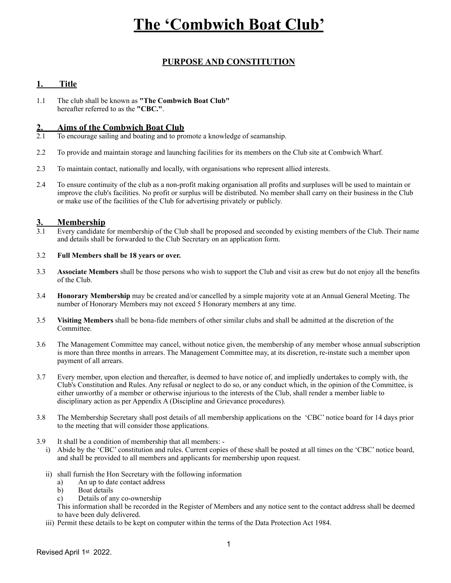# **The 'Combwich Boat Club'**

## **PURPOSE AND CONSTITUTION**

### **1. Title**

1.1 The club shall be known as **"The Combwich Boat Club"** hereafter referred to as the **"CBC."**.

### **2. Aims of the Combwich Boat Club**

- 2.1 To encourage sailing and boating and to promote a knowledge of seamanship.
- 2.2 To provide and maintain storage and launching facilities for its members on the Club site at Combwich Wharf.
- 2.3 To maintain contact, nationally and locally, with organisations who represent allied interests.
- 2.4 To ensure continuity of the club as a non-profit making organisation all profits and surpluses will be used to maintain or improve the club's facilities. No profit or surplus will be distributed. No member shall carry on their business in the Club or make use of the facilities of the Club for advertising privately or publicly.

#### **3. Membership**

3.1 Every candidate for membership of the Club shall be proposed and seconded by existing members of the Club. Their name and details shall be forwarded to the Club Secretary on an application form.

#### 3.2 **Full Members shall be 18 years or over.**

- 3.3 **Associate Members** shall be those persons who wish to support the Club and visit as crew but do not enjoy all the benefits of the Club.
- 3.4 **Honorary Membership** may be created and/or cancelled by a simple majority vote at an Annual General Meeting. The number of Honorary Members may not exceed 5 Honorary members at any time.
- 3.5 **Visiting Members** shall be bona-fide members of other similar clubs and shall be admitted at the discretion of the Committee.
- 3.6 The Management Committee may cancel, without notice given, the membership of any member whose annual subscription is more than three months in arrears. The Management Committee may, at its discretion, re-instate such a member upon payment of all arrears.
- 3.7 Every member, upon election and thereafter, is deemed to have notice of, and impliedly undertakes to comply with, the Club's Constitution and Rules. Any refusal or neglect to do so, or any conduct which, in the opinion of the Committee, is either unworthy of a member or otherwise injurious to the interests of the Club, shall render a member liable to disciplinary action as per Appendix A (Discipline and Grievance procedures).
- 3.8 The Membership Secretary shall post details of all membership applications on the 'CBC' notice board for 14 days prior to the meeting that will consider those applications.
- 3.9 It shall be a condition of membership that all members:
	- i) Abide by the 'CBC' constitution and rules. Current copies of these shall be posted at all times on the 'CBC' notice board, and shall be provided to all members and applicants for membership upon request.
	- ii) shall furnish the Hon Secretary with the following information
		- a) An up to date contact address
		- b) Boat details
		- c) Details of any co-ownership

This information shall be recorded in the Register of Members and any notice sent to the contact address shall be deemed to have been duly delivered.

iii) Permit these details to be kept on computer within the terms of the Data Protection Act 1984.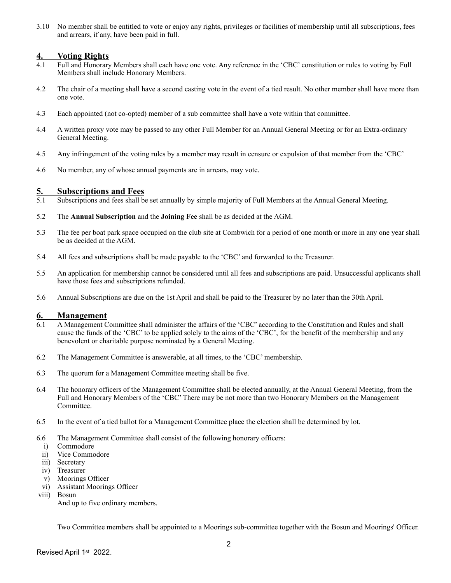3.10 No member shall be entitled to vote or enjoy any rights, privileges or facilities of membership until all subscriptions, fees and arrears, if any, have been paid in full.

#### **4. Voting Rights**

- 4.1 Full and Honorary Members shall each have one vote. Any reference in the 'CBC' constitution or rules to voting by Full Members shall include Honorary Members.
- 4.2 The chair of a meeting shall have a second casting vote in the event of a tied result. No other member shall have more than one vote.
- 4.3 Each appointed (not co-opted) member of a sub committee shall have a vote within that committee.
- 4.4 A written proxy vote may be passed to any other Full Member for an Annual General Meeting or for an Extra-ordinary General Meeting.
- 4.5 Any infringement of the voting rules by a member may result in censure or expulsion of that member from the 'CBC'
- 4.6 No member, any of whose annual payments are in arrears, may vote.

#### **5. Subscriptions and Fees**

- 5.1 Subscriptions and fees shall be set annually by simple majority of Full Members at the Annual General Meeting.
- 5.2 The **Annual Subscription** and the **Joining Fee** shall be as decided at the AGM.
- 5.3 The fee per boat park space occupied on the club site at Combwich for a period of one month or more in any one year shall be as decided at the AGM.
- 5.4 All fees and subscriptions shall be made payable to the 'CBC' and forwarded to the Treasurer.
- 5.5 An application for membership cannot be considered until all fees and subscriptions are paid. Unsuccessful applicants shall have those fees and subscriptions refunded.
- 5.6 Annual Subscriptions are due on the 1st April and shall be paid to the Treasurer by no later than the 30th April.

#### **6. Management**

- 6.1 A Management Committee shall administer the affairs of the 'CBC' according to the Constitution and Rules and shall cause the funds of the 'CBC' to be applied solely to the aims of the 'CBC', for the benefit of the membership and any benevolent or charitable purpose nominated by a General Meeting.
- 6.2 The Management Committee is answerable, at all times, to the 'CBC' membership.
- 6.3 The quorum for a Management Committee meeting shall be five.
- 6.4 The honorary officers of the Management Committee shall be elected annually, at the Annual General Meeting, from the Full and Honorary Members of the 'CBC' There may be not more than two Honorary Members on the Management Committee.
- 6.5 In the event of a tied ballot for a Management Committee place the election shall be determined by lot.
- 6.6 The Management Committee shall consist of the following honorary officers:
	- i) Commodore
	- ii) Vice Commodore
	- iii) Secretary
	- iv) Treasurer
	- v) Moorings Officer
- vi) Assistant Moorings Officer viii) Bosun

And up to five ordinary members.

Two Committee members shall be appointed to a Moorings sub-committee together with the Bosun and Moorings' Officer.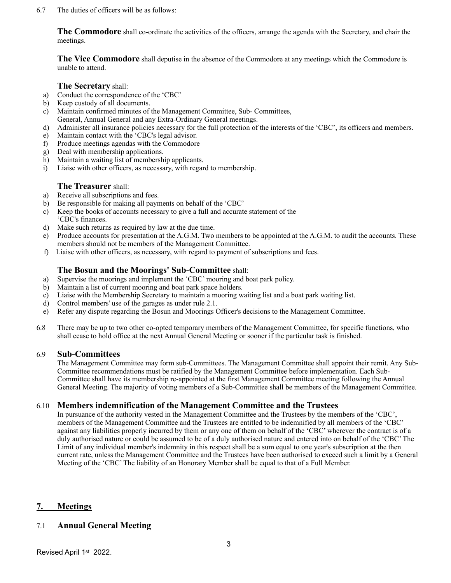#### 6.7 The duties of officers will be as follows:

**The Commodore** shall co-ordinate the activities of the officers, arrange the agenda with the Secretary, and chair the meetings.

**The Vice Commodore** shall deputise in the absence of the Commodore at any meetings which the Commodore is unable to attend.

#### **The Secretary** shall:

- a) Conduct the correspondence of the 'CBC'
- b) Keep custody of all documents.
- c) Maintain confirmed minutes of the Management Committee, Sub- Committees,
- General, Annual General and any Extra-Ordinary General meetings.
- d) Administer all insurance policies necessary for the full protection of the interests of the 'CBC', its officers and members.
- e) Maintain contact with the 'CBC's legal advisor.
- f) Produce meetings agendas with the Commodore
- g) Deal with membership applications.
- h) Maintain a waiting list of membership applicants.
- i) Liaise with other officers, as necessary, with regard to membership.

#### **The Treasurer** shall:

- a) Receive all subscriptions and fees.
- b) Be responsible for making all payments on behalf of the 'CBC'
- c) Keep the books of accounts necessary to give a full and accurate statement of the 'CBC's finances.
- d) Make such returns as required by law at the due time.
- e) Produce accounts for presentation at the A.G.M. Two members to be appointed at the A.G.M. to audit the accounts. These members should not be members of the Management Committee.
- f) Liaise with other officers, as necessary, with regard to payment of subscriptions and fees.

#### **The Bosun and the Moorings' Sub-Committee** shall:

- a) Supervise the moorings and implement the 'CBC' mooring and boat park policy.
- b) Maintain a list of current mooring and boat park space holders.
- c) Liaise with the Membership Secretary to maintain a mooring waiting list and a boat park waiting list.
- d) Control members' use of the garages as under rule 2.1.
- e) Refer any dispute regarding the Bosun and Moorings Officer's decisions to the Management Committee.
- 6.8 There may be up to two other co-opted temporary members of the Management Committee, for specific functions, who shall cease to hold office at the next Annual General Meeting or sooner if the particular task is finished.

#### 6.9 **Sub-Committees**

The Management Committee may form sub-Committees. The Management Committee shall appoint their remit. Any Sub-Committee recommendations must be ratified by the Management Committee before implementation. Each Sub-Committee shall have its membership re-appointed at the first Management Committee meeting following the Annual General Meeting. The majority of voting members of a Sub-Committee shall be members of the Management Committee.

#### 6.10 **Members indemnification of the Management Committee and the Trustees**

In pursuance of the authority vested in the Management Committee and the Trustees by the members of the 'CBC', members of the Management Committee and the Trustees are entitled to be indemnified by all members of the 'CBC' against any liabilities properly incurred by them or any one of them on behalf of the 'CBC' wherever the contract is of a duly authorised nature or could be assumed to be of a duly authorised nature and entered into on behalf of the 'CBC' The Limit of any individual member's indemnity in this respect shall be a sum equal to one year's subscription at the then current rate, unless the Management Committee and the Trustees have been authorised to exceed such a limit by a General Meeting of the 'CBC' The liability of an Honorary Member shall be equal to that of a Full Member.

#### **7. Meetings**

### 7.1 **Annual General Meeting**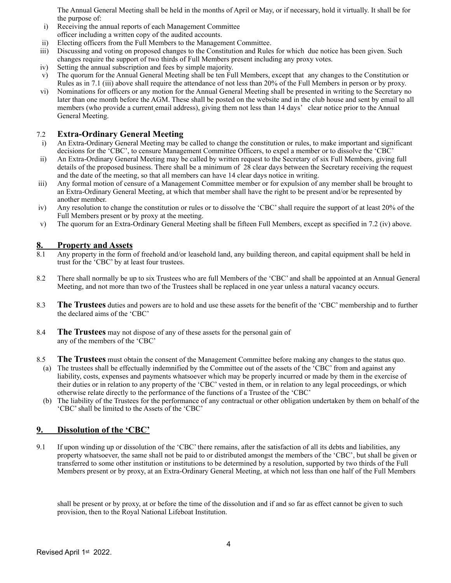The Annual General Meeting shall be held in the months of April or May, or if necessary, hold it virtually. It shall be for the purpose of:

- i) Receiving the annual reports of each Management Committee
- officer including a written copy of the audited accounts.
- ii) Electing officers from the Full Members to the Management Committee.
- iii) Discussing and voting on proposed changes to the Constitution and Rules for which due notice has been given. Such changes require the support of two thirds of Full Members present including any proxy votes.
- iv) Setting the annual subscription and fees by simple majority.
- v) The quorum for the Annual General Meeting shall be ten Full Members, except that any changes to the Constitution or Rules as in 7.1 (iii) above shall require the attendance of not less than 20% of the Full Members in person or by proxy.
- vi) Nominations for officers or any motion for the Annual General Meeting shall be presented in writing to the Secretary no later than one month before the AGM. These shall be posted on the website and in the club house and sent by email to all members (who provide a current email address), giving them not less than 14 days' clear notice prior to the Annual General Meeting.

#### 7.2 **Extra-Ordinary General Meeting**

- i) An Extra-Ordinary General Meeting may be called to change the constitution or rules, to make important and significant decisions for the 'CBC', to censure Management Committee Officers, to expel a member or to dissolve the 'CBC'
- ii) An Extra-Ordinary General Meeting may be called by written request to the Secretary of six Full Members, giving full details of the proposed business. There shall be a minimum of 28 clear days between the Secretary receiving the request and the date of the meeting, so that all members can have 14 clear days notice in writing.
- iii) Any formal motion of censure of a Management Committee member or for expulsion of any member shall be brought to an Extra-Ordinary General Meeting, at which that member shall have the right to be present and/or be represented by another member.
- iv) Any resolution to change the constitution or rules or to dissolve the 'CBC' shall require the support of at least 20% of the Full Members present or by proxy at the meeting.
- v) The quorum for an Extra-Ordinary General Meeting shall be fifteen Full Members, except as specified in 7.2 (iv) above.

#### **8. Property and Assets**

- 8.1 Any property in the form of freehold and/or leasehold land, any building thereon, and capital equipment shall be held in trust for the 'CBC' by at least four trustees.
- 8.2There shall normally be up to six Trustees who are full Members of the 'CBC' and shall be appointed at an Annual General Meeting, and not more than two of the Trustees shall be replaced in one year unless a natural vacancy occurs.
- 8.3 **The Trustees** duties and powers are to hold and use these assets for the benefit of the 'CBC' membership and to further the declared aims of the 'CBC'
- 8.4 **The Trustees** may not dispose of any of these assets for the personal gain of any of the members of the 'CBC'
- 8.5 **The Trustees** must obtain the consent of the Management Committee before making any changes to the status quo.
- (a) The trustees shall be effectually indemnified by the Committee out of the assets of the 'CBC' from and against any liability, costs, expenses and payments whatsoever which may be properly incurred or made by them in the exercise of their duties or in relation to any property of the 'CBC' vested in them, or in relation to any legal proceedings, or which otherwise relate directly to the performance of the functions of a Trustee of the 'CBC'
- (b) The liability of the Trustees for the performance of any contractual or other obligation undertaken by them on behalf of the 'CBC' shall be limited to the Assets of the 'CBC'

### **9. Dissolution of the 'CBC'**

9.1 If upon winding up or dissolution of the 'CBC' there remains, after the satisfaction of all its debts and liabilities, any property whatsoever, the same shall not be paid to or distributed amongst the members of the 'CBC', but shall be given or transferred to some other institution or institutions to be determined by a resolution, supported by two thirds of the Full Members present or by proxy, at an Extra-Ordinary General Meeting, at which not less than one half of the Full Members

shall be present or by proxy, at or before the time of the dissolution and if and so far as effect cannot be given to such provision, then to the Royal National Lifeboat Institution.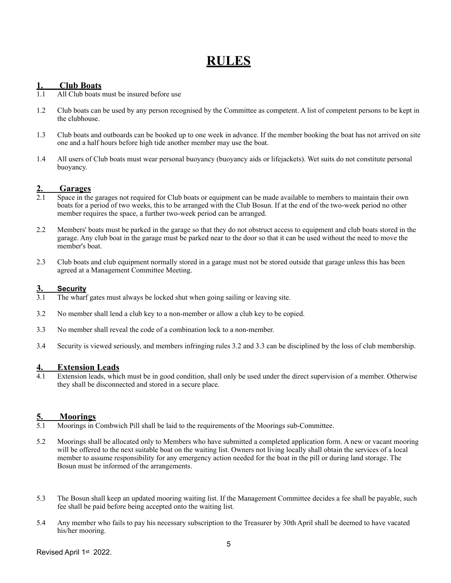# **RULES**

#### **1. Club Boats**

- 1.1 All Club boats must be insured before use
- 1.2 Club boats can be used by any person recognised by the Committee as competent. A list of competent persons to be kept in the clubhouse.
- 1.3 Club boats and outboards can be booked up to one week in advance. If the member booking the boat has not arrived on site one and a half hours before high tide another member may use the boat.
- 1.4 All users of Club boats must wear personal buoyancy (buoyancy aids or lifejackets). Wet suits do not constitute personal buoyancy.

#### **2. Garages**

- 2.1 Space in the garages not required for Club boats or equipment can be made available to members to maintain their own boats for a period of two weeks, this to be arranged with the Club Bosun. If at the end of the two-week period no other member requires the space, a further two-week period can be arranged.
- 2.2 Members' boats must be parked in the garage so that they do not obstruct access to equipment and club boats stored in the garage. Any club boat in the garage must be parked near to the door so that it can be used without the need to move the member's boat.
- 2.3 Club boats and club equipment normally stored in a garage must not be stored outside that garage unless this has been agreed at a Management Committee Meeting.

#### **3. Security**

- 3.1 The wharf gates must always be locked shut when going sailing or leaving site.
- 3.2 No member shall lend a club key to a non-member or allow a club key to be copied.
- 3.3 No member shall reveal the code of a combination lock to a non-member.
- 3.4 Security is viewed seriously, and members infringing rules 3.2 and 3.3 can be disciplined by the loss of club membership.

# **4. Extension Leads**<br>**4.1** Extension leads, which

Extension leads, which must be in good condition, shall only be used under the direct supervision of a member. Otherwise they shall be disconnected and stored in a secure place.

# **5. Moorings**

- 5.1 Moorings in Combwich Pill shall be laid to the requirements of the Moorings sub-Committee.
- 5.2 Moorings shall be allocated only to Members who have submitted a completed application form. A new or vacant mooring will be offered to the next suitable boat on the waiting list. Owners not living locally shall obtain the services of a local member to assume responsibility for any emergency action needed for the boat in the pill or during land storage. The Bosun must be informed of the arrangements.
- 5.3 The Bosun shall keep an updated mooring waiting list. If the Management Committee decides a fee shall be payable, such fee shall be paid before being accepted onto the waiting list.
- 5.4 Any member who fails to pay his necessary subscription to the Treasurer by 30th April shall be deemed to have vacated his/her mooring.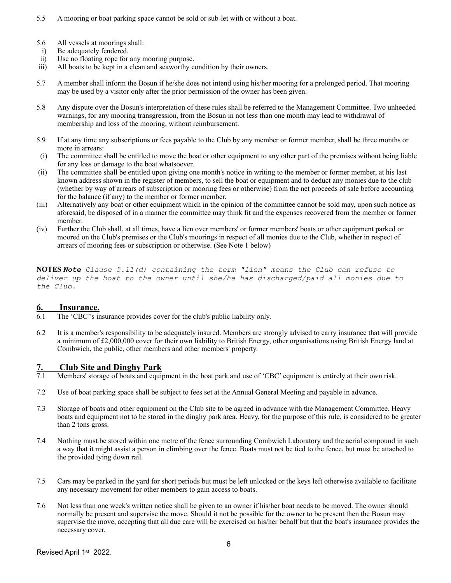- 5.5 A mooring or boat parking space cannot be sold or sub-let with or without a boat.
- 5.6 All vessels at moorings shall:
- i) Be adequately fendered.
- ii) Use no floating rope for any mooring purpose.
- iii) All boats to be kept in a clean and seaworthy condition by their owners.
- 5.7 A member shall inform the Bosun if he/she does not intend using his/her mooring for a prolonged period. That mooring may be used by a visitor only after the prior permission of the owner has been given.
- 5.8 Any dispute over the Bosun's interpretation of these rules shall be referred to the Management Committee. Two unheeded warnings, for any mooring transgression, from the Bosun in not less than one month may lead to withdrawal of membership and loss of the mooring, without reimbursement.
- 5.9 If at any time any subscriptions or fees payable to the Club by any member or former member, shall be three months or more in arrears:
- (i) The committee shall be entitled to move the boat or other equipment to any other part of the premises without being liable for any loss or damage to the boat whatsoever.
- (ii) The committee shall be entitled upon giving one month's notice in writing to the member or former member, at his last known address shown in the register of members, to sell the boat or equipment and to deduct any monies due to the club (whether by way of arrears of subscription or mooring fees or otherwise) from the net proceeds of sale before accounting for the balance (if any) to the member or former member.
- (iii) Alternatively any boat or other equipment which in the opinion of the committee cannot be sold may, upon such notice as aforesaid, be disposed of in a manner the committee may think fit and the expenses recovered from the member or former member.
- (iv) Further the Club shall, at all times, have a lien over members' or former members' boats or other equipment parked or moored on the Club's premises or the Club's moorings in respect of all monies due to the Club, whether in respect of arrears of mooring fees or subscription or otherwise. (See Note 1 below)

**NOTES** *Note Clause 5.11(d) containing the term "lien" means the Club can refuse to deliver up the boat to the owner until she/he has discharged/paid all monies due to the Club.*

#### **6. Insurance.**

- 6.1 The 'CBC''s insurance provides cover for the club's public liability only.
- 6.2 It is a member's responsibility to be adequately insured. Members are strongly advised to carry insurance that will provide a minimum of £2,000,000 cover for their own liability to British Energy, other organisations using British Energy land at Combwich, the public, other members and other members' property.

# **7. Club Site and Dinghy Park**<br>**7.1** Members' storage of boats and equip

- Members' storage of boats and equipment in the boat park and use of 'CBC' equipment is entirely at their own risk.
- 7.2 Use of boat parking space shall be subject to fees set at the Annual General Meeting and payable in advance.
- 7.3 Storage of boats and other equipment on the Club site to be agreed in advance with the Management Committee. Heavy boats and equipment not to be stored in the dinghy park area. Heavy, for the purpose of this rule, is considered to be greater than 2 tons gross.
- 7.4 Nothing must be stored within one metre of the fence surrounding Combwich Laboratory and the aerial compound in such a way that it might assist a person in climbing over the fence. Boats must not be tied to the fence, but must be attached to the provided tying down rail.
- 7.5 Cars may be parked in the yard for short periods but must be left unlocked or the keys left otherwise available to facilitate any necessary movement for other members to gain access to boats.
- 7.6 Not less than one week's written notice shall be given to an owner if his/her boat needs to be moved. The owner should normally be present and supervise the move. Should it not be possible for the owner to be present then the Bosun may supervise the move, accepting that all due care will be exercised on his/her behalf but that the boat's insurance provides the necessary cover.